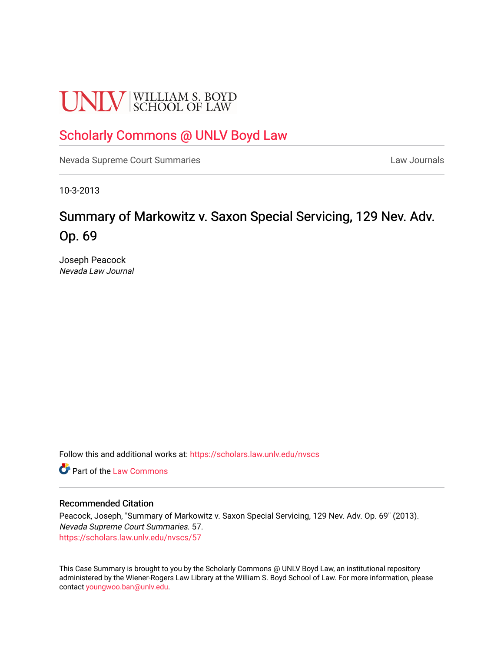# **UNLV** SCHOOL OF LAW

### [Scholarly Commons @ UNLV Boyd Law](https://scholars.law.unlv.edu/)

[Nevada Supreme Court Summaries](https://scholars.law.unlv.edu/nvscs) **Law Journals** Law Journals

10-3-2013

## Summary of Markowitz v. Saxon Special Servicing, 129 Nev. Adv. Op. 69

Joseph Peacock Nevada Law Journal

Follow this and additional works at: [https://scholars.law.unlv.edu/nvscs](https://scholars.law.unlv.edu/nvscs?utm_source=scholars.law.unlv.edu%2Fnvscs%2F57&utm_medium=PDF&utm_campaign=PDFCoverPages)

**C** Part of the [Law Commons](http://network.bepress.com/hgg/discipline/578?utm_source=scholars.law.unlv.edu%2Fnvscs%2F57&utm_medium=PDF&utm_campaign=PDFCoverPages)

#### Recommended Citation

Peacock, Joseph, "Summary of Markowitz v. Saxon Special Servicing, 129 Nev. Adv. Op. 69" (2013). Nevada Supreme Court Summaries. 57. [https://scholars.law.unlv.edu/nvscs/57](https://scholars.law.unlv.edu/nvscs/57?utm_source=scholars.law.unlv.edu%2Fnvscs%2F57&utm_medium=PDF&utm_campaign=PDFCoverPages) 

This Case Summary is brought to you by the Scholarly Commons @ UNLV Boyd Law, an institutional repository administered by the Wiener-Rogers Law Library at the William S. Boyd School of Law. For more information, please contact [youngwoo.ban@unlv.edu](mailto:youngwoo.ban@unlv.edu).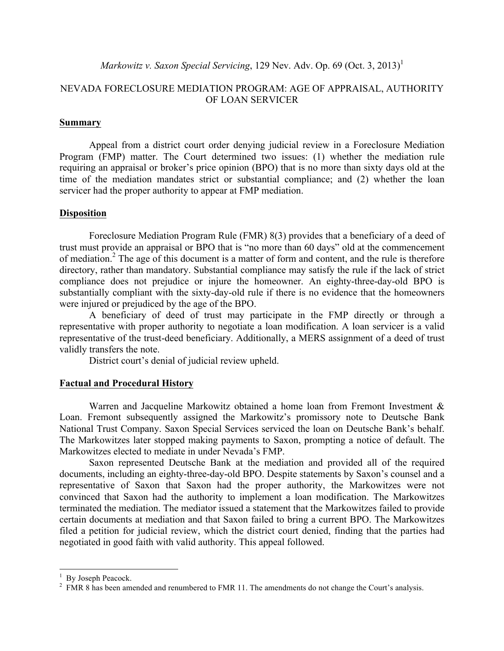#### *Markowitz v. Saxon Special Servicing*, 129 Nev. Adv. Op. 69 (Oct. 3, 2013)<sup>1</sup>

#### NEVADA FORECLOSURE MEDIATION PROGRAM: AGE OF APPRAISAL, AUTHORITY OF LOAN SERVICER

#### **Summary**

Appeal from a district court order denying judicial review in a Foreclosure Mediation Program (FMP) matter. The Court determined two issues: (1) whether the mediation rule requiring an appraisal or broker's price opinion (BPO) that is no more than sixty days old at the time of the mediation mandates strict or substantial compliance; and (2) whether the loan servicer had the proper authority to appear at FMP mediation.

#### **Disposition**

Foreclosure Mediation Program Rule (FMR) 8(3) provides that a beneficiary of a deed of trust must provide an appraisal or BPO that is "no more than 60 days" old at the commencement of mediation.<sup>2</sup> The age of this document is a matter of form and content, and the rule is therefore directory, rather than mandatory. Substantial compliance may satisfy the rule if the lack of strict compliance does not prejudice or injure the homeowner. An eighty-three-day-old BPO is substantially compliant with the sixty-day-old rule if there is no evidence that the homeowners were injured or prejudiced by the age of the BPO.

A beneficiary of deed of trust may participate in the FMP directly or through a representative with proper authority to negotiate a loan modification. A loan servicer is a valid representative of the trust-deed beneficiary. Additionally, a MERS assignment of a deed of trust validly transfers the note.

District court's denial of judicial review upheld.

#### **Factual and Procedural History**

Warren and Jacqueline Markowitz obtained a home loan from Fremont Investment & Loan. Fremont subsequently assigned the Markowitz's promissory note to Deutsche Bank National Trust Company. Saxon Special Services serviced the loan on Deutsche Bank's behalf. The Markowitzes later stopped making payments to Saxon, prompting a notice of default. The Markowitzes elected to mediate in under Nevada's FMP.

Saxon represented Deutsche Bank at the mediation and provided all of the required documents, including an eighty-three-day-old BPO. Despite statements by Saxon's counsel and a representative of Saxon that Saxon had the proper authority, the Markowitzes were not convinced that Saxon had the authority to implement a loan modification. The Markowitzes terminated the mediation. The mediator issued a statement that the Markowitzes failed to provide certain documents at mediation and that Saxon failed to bring a current BPO. The Markowitzes filed a petition for judicial review, which the district court denied, finding that the parties had negotiated in good faith with valid authority. This appeal followed.

 $\frac{1}{1}$  $<sup>1</sup>$  By Joseph Peacock.</sup>

 $2$  FMR 8 has been amended and renumbered to FMR 11. The amendments do not change the Court's analysis.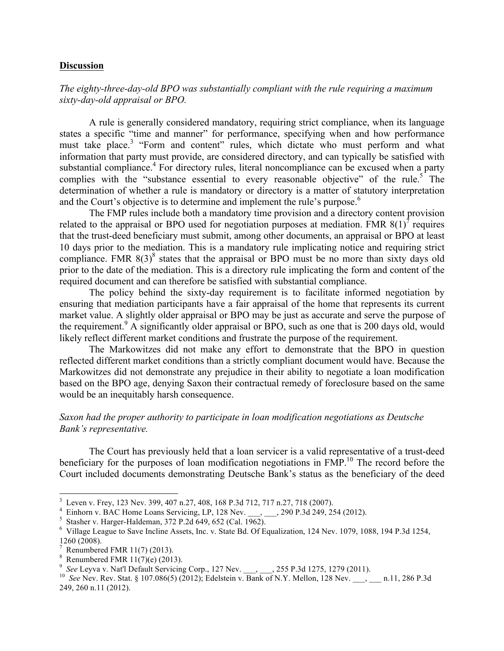#### **Discussion**

*The eighty-three-day-old BPO was substantially compliant with the rule requiring a maximum sixty-day-old appraisal or BPO.*

A rule is generally considered mandatory, requiring strict compliance, when its language states a specific "time and manner" for performance, specifying when and how performance must take place.<sup>3</sup> "Form and content" rules, which dictate who must perform and what information that party must provide, are considered directory, and can typically be satisfied with substantial compliance.<sup>4</sup> For directory rules, literal noncompliance can be excused when a party complies with the "substance essential to every reasonable objective" of the rule.<sup>5</sup> The determination of whether a rule is mandatory or directory is a matter of statutory interpretation and the Court's objective is to determine and implement the rule's purpose.<sup>6</sup>

The FMP rules include both a mandatory time provision and a directory content provision related to the appraisal or BPO used for negotiation purposes at mediation. FMR  $8(1)'$  requires that the trust-deed beneficiary must submit, among other documents, an appraisal or BPO at least 10 days prior to the mediation. This is a mandatory rule implicating notice and requiring strict compliance. FMR  $8(3)^8$  states that the appraisal or BPO must be no more than sixty days old prior to the date of the mediation. This is a directory rule implicating the form and content of the required document and can therefore be satisfied with substantial compliance.

The policy behind the sixty-day requirement is to facilitate informed negotiation by ensuring that mediation participants have a fair appraisal of the home that represents its current market value. A slightly older appraisal or BPO may be just as accurate and serve the purpose of the requirement.<sup>9</sup> A significantly older appraisal or BPO, such as one that is 200 days old, would likely reflect different market conditions and frustrate the purpose of the requirement.

The Markowitzes did not make any effort to demonstrate that the BPO in question reflected different market conditions than a strictly compliant document would have. Because the Markowitzes did not demonstrate any prejudice in their ability to negotiate a loan modification based on the BPO age, denying Saxon their contractual remedy of foreclosure based on the same would be an inequitably harsh consequence.

#### *Saxon had the proper authority to participate in loan modification negotiations as Deutsche Bank's representative.*

The Court has previously held that a loan servicer is a valid representative of a trust-deed beneficiary for the purposes of loan modification negotiations in  $FMP<sup>10</sup>$ . The record before the Court included documents demonstrating Deutsche Bank's status as the beneficiary of the deed

<sup>4</sup> Einhorn v. BAC Home Loans Servicing, LP, 128 Nev.  $\qquad$ , \_\_, 290 P.3d 249, 254 (2012).

 $\frac{1}{3}$ <sup>3</sup> Leven v. Frey, 123 Nev. 399, 407 n.27, 408, 168 P.3d 712, 717 n.27, 718 (2007).

 $5$  Stasher v. Harger-Haldeman, 372 P.2d 649, 652 (Cal. 1962).

<sup>&</sup>lt;sup>6</sup> Village League to Save Incline Assets, Inc. v. State Bd. Of Equalization, 124 Nev. 1079, 1088, 194 P.3d 1254, 1260 (2008).<br>
<sup>7</sup> Renumbered FMR 11(7) (2013).

<sup>7</sup> Renumbered FMR 11(7) (2013).

Renumbered FMR  $11(7)$ (e) (2013).

<sup>&</sup>lt;sup>9</sup> See Leyva v. Nat'l Default Servicing Corp., 127 Nev. \_\_, \_\_, 255 P.3d 1275, 1279 (2011).<br><sup>10</sup> See Nev. Rev. Stat. § 107.086(5) (2012); Edelstein v. Bank of N.Y. Mellon, 128 Nev. \_\_, \_\_\_ n.11, 286 P.3d 249, 260 n.11 (2012).